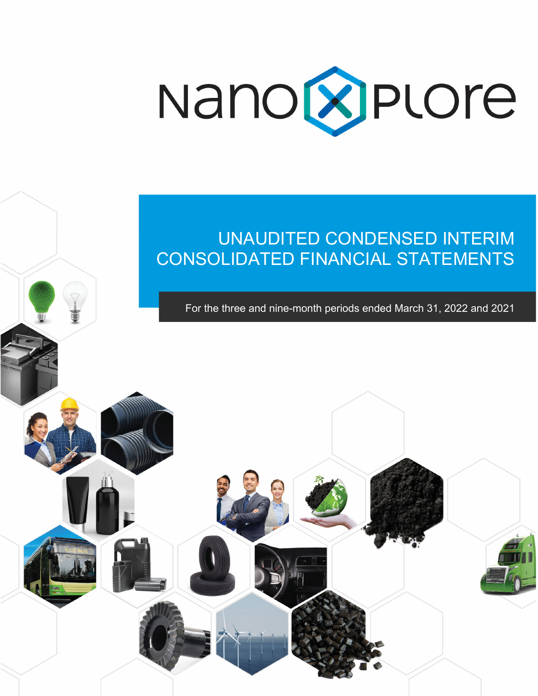

# UNAUDITED CONDENSED INTERIM CONSOLIDATED FINANCIAL STATEMENTS

Ĩ

For the three and nine-month periods ended March 31, 2022 and 2021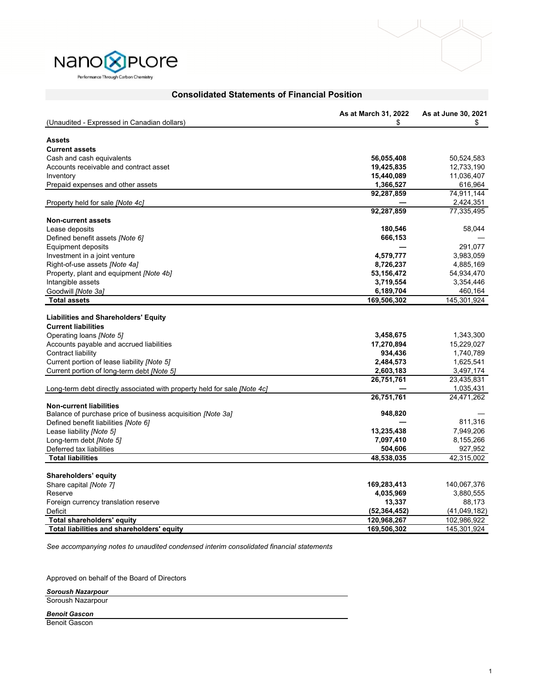

| Nano <b>X</b> Plore                  |
|--------------------------------------|
| Performance Through Carbon Chemistry |

|                                                                          | As at March 31, 2022    | As at June 30, 2021      |
|--------------------------------------------------------------------------|-------------------------|--------------------------|
| (Unaudited - Expressed in Canadian dollars)                              | \$                      | \$                       |
|                                                                          |                         |                          |
| <b>Assets</b>                                                            |                         |                          |
| <b>Current assets</b>                                                    |                         |                          |
| Cash and cash equivalents                                                | 56,055,408              | 50,524,583<br>12,733,190 |
| Accounts receivable and contract asset                                   | 19,425,835              | 11,036,407               |
| Inventory                                                                | 15,440,089<br>1,366,527 | 616,964                  |
| Prepaid expenses and other assets                                        | 92,287,859              | 74,911,144               |
| Property held for sale <i>[Note 4c]</i>                                  |                         | 2,424,351                |
|                                                                          | 92,287,859              | 77,335,495               |
| <b>Non-current assets</b>                                                |                         |                          |
| Lease deposits                                                           | 180,546                 | 58,044                   |
| Defined benefit assets [Note 6]                                          | 666,153                 |                          |
| Equipment deposits                                                       |                         | 291,077                  |
| Investment in a joint venture                                            | 4,579,777               | 3,983,059                |
| Right-of-use assets [Note 4a]                                            | 8,726,237               | 4,885,169                |
| Property, plant and equipment [Note 4b]                                  | 53,156,472              | 54,934,470               |
| Intangible assets                                                        | 3,719,554               | 3,354,446                |
| Goodwill [Note 3a]                                                       | 6,189,704               | 460,164                  |
| <b>Total assets</b>                                                      | 169,506,302             | 145,301,924              |
|                                                                          |                         |                          |
| <b>Liabilities and Shareholders' Equity</b>                              |                         |                          |
| <b>Current liabilities</b>                                               |                         |                          |
| Operating loans [Note 5]                                                 | 3,458,675               | 1,343,300                |
| Accounts payable and accrued liabilities                                 | 17,270,894              | 15,229,027               |
| Contract liability                                                       | 934,436                 | 1,740,789                |
| Current portion of lease liability <i>[Note 5]</i>                       | 2,484,573               | 1,625,541                |
| Current portion of long-term debt [Note 5]                               | 2,603,183               | 3,497,174                |
|                                                                          | 26,751,761              | 23,435,831               |
| Long-term debt directly associated with property held for sale [Note 4c] |                         | 1,035,431                |
|                                                                          | 26,751,761              | 24,471,262               |
| <b>Non-current liabilities</b>                                           |                         |                          |
| Balance of purchase price of business acquisition <i>[Note 3a]</i>       | 948,820                 | 811,316                  |
| Defined benefit liabilities [Note 6]                                     |                         |                          |
| Lease liability [Note 5]                                                 | 13,235,438              | 7,949,206                |
| Long-term debt [Note 5]                                                  | 7,097,410               | 8,155,266                |
| Deferred tax liabilities<br><b>Total liabilities</b>                     | 504,606<br>48,538,035   | 927,952<br>42,315,002    |
|                                                                          |                         |                          |
| Shareholders' equity                                                     |                         |                          |
| Share capital [Note 7]                                                   | 169,283,413             | 140,067,376              |
| Reserve                                                                  | 4,035,969               | 3,880,555                |
| Foreign currency translation reserve                                     | 13,337                  | 88,173                   |
| Deficit                                                                  | (52, 364, 452)          | (41,049,182)             |
| Total shareholders' equity                                               | 120,968,267             | 102,986,922              |
| Total liabilities and shareholders' equity                               | 169,506,302             | 145,301,924              |

# **Consolidated Statements of Financial Position**

*See accompanying notes to unaudited condensed interim consolidated financial statements* 

Approved on behalf of the Board of Directors

*Soroush Nazarpour*

Soroush Nazarpour

*Benoit Gascon*

Benoit Gascon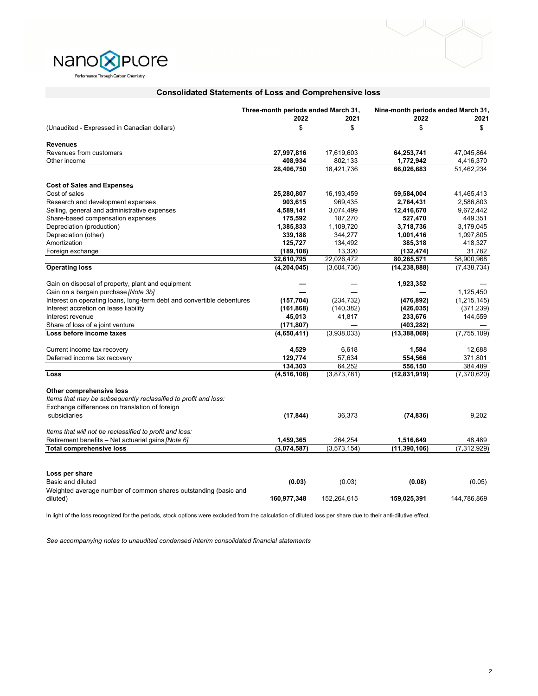



|                                                                        | Three-month periods ended March 31, |             | Nine-month periods ended March 31, |               |
|------------------------------------------------------------------------|-------------------------------------|-------------|------------------------------------|---------------|
|                                                                        | 2022                                | 2021        | 2022                               | 2021          |
| (Unaudited - Expressed in Canadian dollars)                            | \$                                  | \$          | \$                                 | \$            |
| <b>Revenues</b>                                                        |                                     |             |                                    |               |
| Revenues from customers                                                | 27,997,816                          | 17,619,603  | 64,253,741                         | 47,045,864    |
| Other income                                                           | 408,934                             | 802,133     | 1,772,942                          | 4,416,370     |
|                                                                        | 28,406,750                          | 18,421,736  | 66,026,683                         | 51,462,234    |
| <b>Cost of Sales and Expenses</b>                                      |                                     |             |                                    |               |
| Cost of sales                                                          | 25,280,807                          | 16,193,459  | 59,584,004                         | 41,465,413    |
| Research and development expenses                                      | 903,615                             | 969,435     | 2,764,431                          | 2,586,803     |
| Selling, general and administrative expenses                           | 4,589,141                           | 3,074,499   | 12,416,670                         | 9,672,442     |
| Share-based compensation expenses                                      | 175,592                             | 187,270     | 527,470                            | 449,351       |
| Depreciation (production)                                              | 1,385,833                           | 1,109,720   | 3,718,736                          | 3,179,045     |
| Depreciation (other)                                                   | 339,188                             | 344,277     | 1,001,416                          | 1,097,805     |
| Amortization                                                           | 125,727                             | 134,492     | 385,318                            | 418,327       |
| Foreign exchange                                                       | (189, 108)                          | 13,320      | (132, 474)                         | 31,782        |
|                                                                        | 32,610,795                          | 22,026,472  | 80,265,571                         | 58,900,968    |
| <b>Operating loss</b>                                                  | (4, 204, 045)                       | (3,604,736) | (14, 238, 888)                     | (7, 438, 734) |
| Gain on disposal of property, plant and equipment                      |                                     |             | 1,923,352                          |               |
| Gain on a bargain purchase [Note 3b]                                   |                                     |             |                                    | 1,125,450     |
| Interest on operating loans, long-term debt and convertible debentures | (157, 704)                          | (234, 732)  | (476, 892)                         | (1, 215, 145) |
| Interest accretion on lease liability                                  | (161, 868)                          | (140, 382)  | (426, 035)                         | (371, 239)    |
| Interest revenue                                                       | 45,013                              | 41,817      | 233,676                            | 144,559       |
| Share of loss of a joint venture                                       | (171,807)                           |             | (403, 282)                         |               |
| Loss before income taxes                                               | (4,650,411)                         | (3,938,033) | (13, 388, 069)                     | (7, 755, 109) |
| Current income tax recovery                                            | 4,529                               | 6,618       | 1,584                              | 12,688        |
| Deferred income tax recovery                                           | 129,774                             | 57,634      | 554,566                            | 371,801       |
|                                                                        | 134,303                             | 64,252      | 556,150                            | 384,489       |
| Loss                                                                   | (4, 516, 108)                       | (3,873,781) | (12,831,919)                       | (7,370,620)   |
| Other comprehensive loss                                               |                                     |             |                                    |               |
| Items that may be subsequently reclassified to profit and loss:        |                                     |             |                                    |               |
| Exchange differences on translation of foreign                         |                                     |             |                                    |               |
| subsidiaries                                                           | (17, 844)                           | 36,373      | (74, 836)                          | 9,202         |
| Items that will not be reclassified to profit and loss:                |                                     |             |                                    |               |
| Retirement benefits - Net actuarial gains [Note 6]                     | 1,459,365                           | 264,254     | 1,516,649                          | 48,489        |
| <b>Total comprehensive loss</b>                                        | (3,074,587)                         | (3,573,154) | (11, 390, 106)                     | (7, 312, 929) |
|                                                                        |                                     |             |                                    |               |
| Loss per share                                                         |                                     |             |                                    |               |
| Basic and diluted                                                      | (0.03)                              | (0.03)      | (0.08)                             | (0.05)        |
| Weighted average number of common shares outstanding (basic and        |                                     |             |                                    |               |
| diluted)                                                               | 160.977.348                         | 152.264.615 | 159.025.391                        | 144.786.869   |

# **Consolidated Statements of Loss and Comprehensive loss**

In light of the loss recognized for the periods, stock options were excluded from the calculation of diluted loss per share due to their anti-dilutive effect.

*See accompanying notes to unaudited condensed interim consolidated financial statements*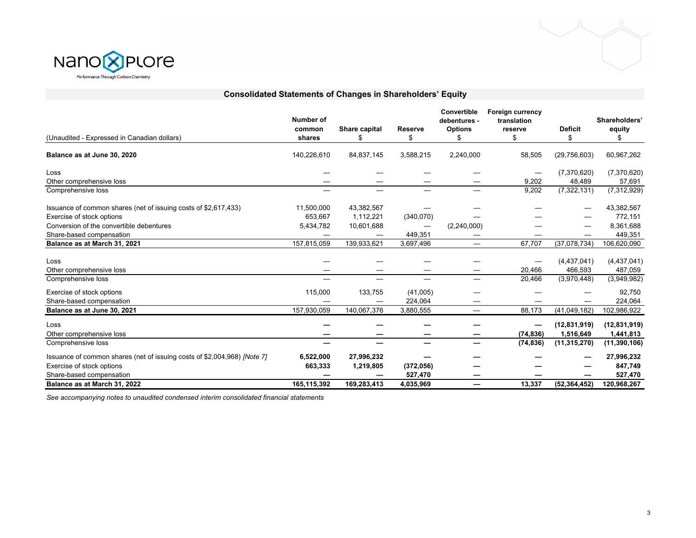



| (Unaudited - Expressed in Canadian dollars)                              | Number of<br>common<br>shares | Share capital<br>S | Reserve<br>\$                  | Convertible<br>debentures -<br><b>Options</b><br>£. | <b>Foreign currency</b><br>translation<br>reserve<br>\$ | <b>Deficit</b><br>\$ | Shareholders'<br>equity<br>S |
|--------------------------------------------------------------------------|-------------------------------|--------------------|--------------------------------|-----------------------------------------------------|---------------------------------------------------------|----------------------|------------------------------|
| Balance as at June 30, 2020                                              | 140,226,610                   | 84,837,145         | 3,588,215                      | 2,240,000                                           | 58,505                                                  | (29,756,603)         | 60,967,262                   |
| Loss                                                                     |                               |                    |                                |                                                     |                                                         | (7,370,620)          | (7,370,620)                  |
| Other comprehensive loss                                                 |                               |                    |                                |                                                     | 9,202                                                   | 48,489               | 57,691                       |
| Comprehensive loss                                                       |                               |                    |                                |                                                     | 9,202                                                   | (7, 322, 131)        | (7, 312, 929)                |
| Issuance of common shares (net of issuing costs of \$2,617,433)          | 11,500,000                    | 43,382,567         |                                |                                                     |                                                         |                      | 43,382,567                   |
| Exercise of stock options                                                | 653,667                       | 1,112,221          | (340,070)                      |                                                     |                                                         |                      | 772,151                      |
| Conversion of the convertible debentures                                 | 5,434,782                     | 10,601,688         | $\overbrace{\phantom{123321}}$ | (2, 240, 000)                                       |                                                         |                      | 8,361,688                    |
| Share-based compensation                                                 |                               |                    | 449,351                        |                                                     |                                                         |                      | 449,351                      |
| Balance as at March 31, 2021                                             | 157,815,059                   | 139,933,621        | 3,697,496                      |                                                     | 67,707                                                  | (37,078,734)         | 106,620,090                  |
|                                                                          |                               |                    |                                |                                                     |                                                         |                      |                              |
| Loss                                                                     |                               |                    |                                |                                                     |                                                         | (4,437,041)          | (4,437,041)                  |
| Other comprehensive loss                                                 |                               |                    |                                |                                                     | 20,466                                                  | 466,593              | 487,059                      |
| Comprehensive loss                                                       |                               |                    |                                |                                                     | 20,466                                                  | (3,970,448)          | (3,949,982)                  |
| Exercise of stock options                                                | 115,000                       | 133,755            | (41,005)                       |                                                     |                                                         |                      | 92,750                       |
| Share-based compensation                                                 |                               |                    | 224,064                        |                                                     |                                                         |                      | 224,064                      |
| Balance as at June 30, 2021                                              | 157,930,059                   | 140,067,376        | 3,880,555                      | $\overline{\phantom{m}}$                            | 88,173                                                  | (41,049,182)         | 102,986,922                  |
| Loss                                                                     |                               |                    |                                |                                                     |                                                         | (12, 831, 919)       | (12, 831, 919)               |
| Other comprehensive loss                                                 |                               |                    |                                |                                                     | (74, 836)                                               | 1,516,649            | 1,441,813                    |
| Comprehensive loss                                                       |                               |                    |                                |                                                     | (74, 836)                                               | (11, 315, 270)       | (11, 390, 106)               |
| Issuance of common shares (net of issuing costs of \$2,004,968) [Note 7] | 6,522,000                     | 27,996,232         |                                |                                                     |                                                         |                      | 27,996,232                   |
| Exercise of stock options                                                | 663,333                       | 1,219,805          | (372, 056)                     |                                                     |                                                         |                      | 847,749                      |
| Share-based compensation                                                 |                               |                    | 527,470                        |                                                     |                                                         |                      | 527,470                      |
| Balance as at March 31, 2022                                             | 165,115,392                   | 169,283,413        | 4,035,969                      |                                                     | 13,337                                                  | (52, 364, 452)       | 120,968,267                  |

**Consolidated Statements of Changes in Shareholders' Equity**

*See accompanying notes to unaudited condensed interim consolidated financial statements*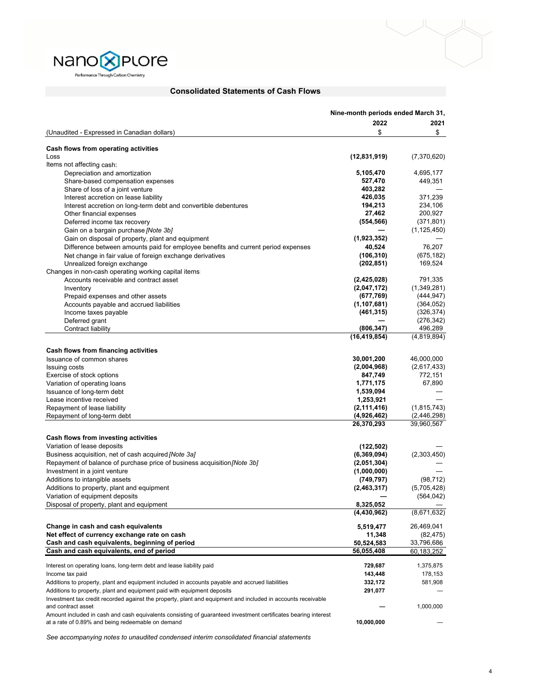

# **Consolidated Statements of Cash Flows**

|                                                                                                                                                                     | Nine-month periods ended March 31, |               |
|---------------------------------------------------------------------------------------------------------------------------------------------------------------------|------------------------------------|---------------|
|                                                                                                                                                                     | 2022                               | 2021          |
| (Unaudited - Expressed in Canadian dollars)                                                                                                                         | \$                                 | \$            |
|                                                                                                                                                                     |                                    |               |
| Cash flows from operating activities                                                                                                                                |                                    |               |
| Loss                                                                                                                                                                | (12, 831, 919)                     | (7,370,620)   |
| Items not affecting cash:                                                                                                                                           |                                    |               |
| Depreciation and amortization                                                                                                                                       | 5,105,470                          | 4,695,177     |
| Share-based compensation expenses                                                                                                                                   | 527,470                            | 449,351       |
| Share of loss of a joint venture                                                                                                                                    | 403,282                            |               |
| Interest accretion on lease liability                                                                                                                               | 426,035                            | 371,239       |
| Interest accretion on long-term debt and convertible debentures                                                                                                     | 194,213                            | 234,106       |
| Other financial expenses                                                                                                                                            | 27,462                             | 200,927       |
| Deferred income tax recovery                                                                                                                                        | (554, 566)                         | (371, 801)    |
| Gain on a bargain purchase [Note 3b]                                                                                                                                |                                    | (1, 125, 450) |
| Gain on disposal of property, plant and equipment                                                                                                                   | (1,923,352)                        |               |
| Difference between amounts paid for employee benefits and current period expenses                                                                                   | 40,524                             | 76,207        |
| Net change in fair value of foreign exchange derivatives                                                                                                            | (106, 310)                         | (675, 182)    |
| Unrealized foreign exchange                                                                                                                                         | (202, 851)                         | 169,524       |
| Changes in non-cash operating working capital items:                                                                                                                |                                    |               |
| Accounts receivable and contract asset                                                                                                                              | (2,425,028)                        | 791,335       |
| Inventory                                                                                                                                                           | (2,047,172)                        | (1,349,281)   |
| Prepaid expenses and other assets                                                                                                                                   | (677, 769)                         | (444, 947)    |
| Accounts payable and accrued liabilities                                                                                                                            | (1, 107, 681)                      | (364, 052)    |
| Income taxes payable                                                                                                                                                | (461, 315)                         | (326, 374)    |
| Deferred grant                                                                                                                                                      |                                    | (276, 342)    |
| Contract liability                                                                                                                                                  | (806, 347)                         | 496,289       |
|                                                                                                                                                                     | (16, 419, 854)                     | (4,819,894)   |
| Cash flows from financing activities                                                                                                                                |                                    |               |
| Issuance of common shares                                                                                                                                           | 30,001,200                         | 46,000,000    |
| <b>Issuing costs</b>                                                                                                                                                | (2,004,968)                        | (2,617,433)   |
| Exercise of stock options                                                                                                                                           | 847,749                            | 772,151       |
| Variation of operating loans                                                                                                                                        | 1,771,175                          | 67,890        |
| Issuance of long-term debt                                                                                                                                          | 1,539,094                          |               |
| Lease incentive received                                                                                                                                            | 1,253,921                          |               |
| Repayment of lease liability                                                                                                                                        | (2, 111, 416)                      | (1, 815, 743) |
| Repayment of long-term debt                                                                                                                                         | (4,926,462)                        | (2,446,298)   |
|                                                                                                                                                                     | 26,370,293                         | 39,960,567    |
|                                                                                                                                                                     |                                    |               |
| Cash flows from investing activities                                                                                                                                |                                    |               |
| Variation of lease deposits                                                                                                                                         | (122, 502)                         |               |
| Business acquisition, net of cash acquired [Note 3a]                                                                                                                | (6,369,094)                        | (2,303,450)   |
| Repayment of balance of purchase price of business acquisition <i>[Note 3b]</i>                                                                                     | (2,051,304)                        |               |
| Investment in a joint venture                                                                                                                                       | (1,000,000)                        |               |
| Additions to intangible assets                                                                                                                                      | (749, 797)                         | (98, 712)     |
| Additions to property, plant and equipment                                                                                                                          | (2,463,317)                        | (5,705,428)   |
| Variation of equipment deposits                                                                                                                                     |                                    | (564, 042)    |
| Disposal of property, plant and equipment                                                                                                                           | 8,325,052                          |               |
|                                                                                                                                                                     | (4, 430, 962)                      | (8,671,632)   |
| Change in cash and cash equivalents                                                                                                                                 | 5,519,477                          | 26,469,041    |
| Net effect of currency exchange rate on cash                                                                                                                        | 11,348                             | (82, 475)     |
| Cash and cash equivalents, beginning of period                                                                                                                      | 50,524,583                         | 33,796,686    |
| Cash and cash equivalents, end of period                                                                                                                            | 56,055,408                         | 60,183,252    |
| Interest on operating loans, long-term debt and lease liability paid                                                                                                | 729,687                            | 1,375,875     |
|                                                                                                                                                                     |                                    |               |
| Income tax paid                                                                                                                                                     | 143,448                            | 178,153       |
| Additions to property, plant and equipment included in accounts payable and accrued liabilities                                                                     | 332,172                            | 581,908       |
| Additions to property, plant and equipment paid with equipment deposits                                                                                             | 291,077                            |               |
| Investment tax credit recorded against the property, plant and equipment and included in accounts receivable                                                        |                                    |               |
| and contract asset                                                                                                                                                  |                                    | 1,000,000     |
| Amount included in cash and cash equivalents consisting of guaranteed investment certificates bearing interest<br>at a rate of 0.89% and being redeemable on demand | 10,000,000                         |               |
|                                                                                                                                                                     |                                    |               |

*See accompanying notes to unaudited condensed interim consolidated financial statements*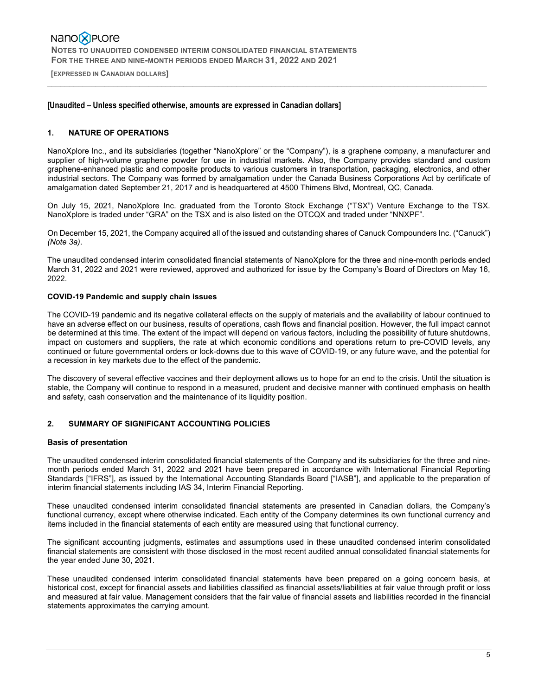**[EXPRESSED IN CANADIAN DOLLARS]** 

### **[Unaudited – Unless specified otherwise, amounts are expressed in Canadian dollars]**

### **1. NATURE OF OPERATIONS**

NanoXplore Inc., and its subsidiaries (together "NanoXplore" or the "Company"), is a graphene company, a manufacturer and supplier of high-volume graphene powder for use in industrial markets. Also, the Company provides standard and custom graphene-enhanced plastic and composite products to various customers in transportation, packaging, electronics, and other industrial sectors. The Company was formed by amalgamation under the Canada Business Corporations Act by certificate of amalgamation dated September 21, 2017 and is headquartered at 4500 Thimens Blvd, Montreal, QC, Canada.

 $\_$  , and the state of the state of the state of the state of the state of the state of the state of the state of the state of the state of the state of the state of the state of the state of the state of the state of the

On July 15, 2021, NanoXplore Inc. graduated from the Toronto Stock Exchange ("TSX") Venture Exchange to the TSX. NanoXplore is traded under "GRA" on the TSX and is also listed on the OTCQX and traded under "NNXPF".

On December 15, 2021, the Company acquired all of the issued and outstanding shares of Canuck Compounders Inc. ("Canuck") *(Note 3a)*.

The unaudited condensed interim consolidated financial statements of NanoXplore for the three and nine-month periods ended March 31, 2022 and 2021 were reviewed, approved and authorized for issue by the Company's Board of Directors on May 16, 2022.

### **COVID-19 Pandemic and supply chain issues**

The COVID-19 pandemic and its negative collateral effects on the supply of materials and the availability of labour continued to have an adverse effect on our business, results of operations, cash flows and financial position. However, the full impact cannot be determined at this time. The extent of the impact will depend on various factors, including the possibility of future shutdowns, impact on customers and suppliers, the rate at which economic conditions and operations return to pre-COVID levels, any continued or future governmental orders or lock-downs due to this wave of COVID-19, or any future wave, and the potential for a recession in key markets due to the effect of the pandemic.

The discovery of several effective vaccines and their deployment allows us to hope for an end to the crisis. Until the situation is stable, the Company will continue to respond in a measured, prudent and decisive manner with continued emphasis on health and safety, cash conservation and the maintenance of its liquidity position.

#### **2. SUMMARY OF SIGNIFICANT ACCOUNTING POLICIES**

#### **Basis of presentation**

The unaudited condensed interim consolidated financial statements of the Company and its subsidiaries for the three and ninemonth periods ended March 31, 2022 and 2021 have been prepared in accordance with International Financial Reporting Standards ["IFRS"], as issued by the International Accounting Standards Board ["IASB"], and applicable to the preparation of interim financial statements including IAS 34, Interim Financial Reporting.

These unaudited condensed interim consolidated financial statements are presented in Canadian dollars, the Company's functional currency, except where otherwise indicated. Each entity of the Company determines its own functional currency and items included in the financial statements of each entity are measured using that functional currency.

The significant accounting judgments, estimates and assumptions used in these unaudited condensed interim consolidated financial statements are consistent with those disclosed in the most recent audited annual consolidated financial statements for the year ended June 30, 2021.

These unaudited condensed interim consolidated financial statements have been prepared on a going concern basis, at historical cost, except for financial assets and liabilities classified as financial assets/liabilities at fair value through profit or loss and measured at fair value. Management considers that the fair value of financial assets and liabilities recorded in the financial statements approximates the carrying amount.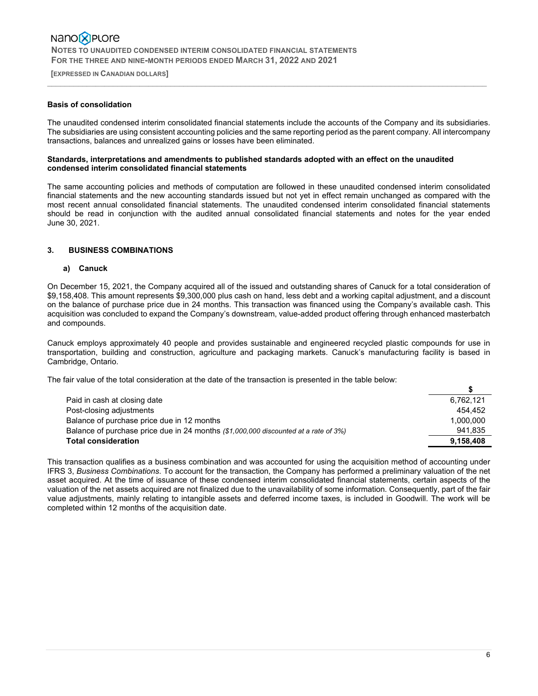**[EXPRESSED IN CANADIAN DOLLARS]** 

### **Basis of consolidation**

The unaudited condensed interim consolidated financial statements include the accounts of the Company and its subsidiaries. The subsidiaries are using consistent accounting policies and the same reporting period as the parent company. All intercompany transactions, balances and unrealized gains or losses have been eliminated.

 $\_$  , and the state of the state of the state of the state of the state of the state of the state of the state of the state of the state of the state of the state of the state of the state of the state of the state of the

### **Standards, interpretations and amendments to published standards adopted with an effect on the unaudited condensed interim consolidated financial statements**

The same accounting policies and methods of computation are followed in these unaudited condensed interim consolidated financial statements and the new accounting standards issued but not yet in effect remain unchanged as compared with the most recent annual consolidated financial statements. The unaudited condensed interim consolidated financial statements should be read in conjunction with the audited annual consolidated financial statements and notes for the year ended June 30, 2021.

### **3. BUSINESS COMBINATIONS**

### **a) Canuck**

On December 15, 2021, the Company acquired all of the issued and outstanding shares of Canuck for a total consideration of \$9,158,408. This amount represents \$9,300,000 plus cash on hand, less debt and a working capital adjustment, and a discount on the balance of purchase price due in 24 months. This transaction was financed using the Company's available cash. This acquisition was concluded to expand the Company's downstream, value-added product offering through enhanced masterbatch and compounds.

Canuck employs approximately 40 people and provides sustainable and engineered recycled plastic compounds for use in transportation, building and construction, agriculture and packaging markets. Canuck's manufacturing facility is based in Cambridge, Ontario.

The fair value of the total consideration at the date of the transaction is presented in the table below:

| Paid in cash at closing date                                                        | 6.762.121 |
|-------------------------------------------------------------------------------------|-----------|
| Post-closing adjustments                                                            | 454.452   |
| Balance of purchase price due in 12 months                                          | 1.000.000 |
| Balance of purchase price due in 24 months (\$1,000,000 discounted at a rate of 3%) | 941.835   |
| <b>Total consideration</b>                                                          | 9.158.408 |

This transaction qualifies as a business combination and was accounted for using the acquisition method of accounting under IFRS 3, *Business Combinations*. To account for the transaction, the Company has performed a preliminary valuation of the net asset acquired. At the time of issuance of these condensed interim consolidated financial statements, certain aspects of the valuation of the net assets acquired are not finalized due to the unavailability of some information. Consequently, part of the fair value adjustments, mainly relating to intangible assets and deferred income taxes, is included in Goodwill. The work will be completed within 12 months of the acquisition date.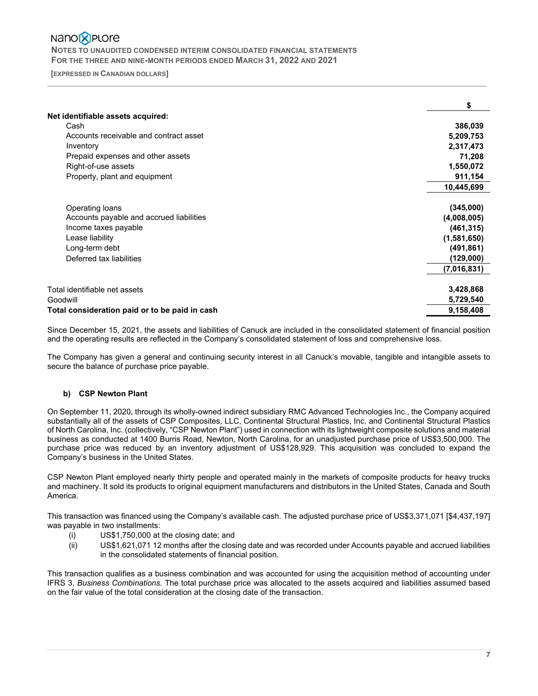# Nano<sup>2</sup>PLOre

 **NOTES TO UNAUDITED CONDENSED INTERIM CONSOLIDATED FINANCIAL STATEMENTS FOR THE THREE AND NINE-MONTH PERIODS ENDED MARCH 31, 2022 AND 2021** 

 **[EXPRESSED IN CANADIAN DOLLARS]** 

|                                                | \$          |
|------------------------------------------------|-------------|
| Net identifiable assets acquired:              |             |
| Cash                                           | 386,039     |
| Accounts receivable and contract asset         | 5,209,753   |
| Inventory                                      | 2,317,473   |
| Prepaid expenses and other assets              | 71,208      |
| Right-of-use assets                            | 1,550,072   |
| Property, plant and equipment                  | 911,154     |
|                                                | 10,445,699  |
| Operating loans                                | (345,000)   |
| Accounts payable and accrued liabilities       | (4,008,005) |
| Income taxes payable                           | (461, 315)  |
| Lease liability                                | (1,581,650) |
| Long-term debt                                 | (491, 861)  |
| Deferred tax liabilities                       | (129,000)   |
|                                                | (7,016,831) |
| Total identifiable net assets                  | 3,428,868   |
| Goodwill                                       | 5,729,540   |
| Total consideration paid or to be paid in cash | 9,158,408   |

 $\_$  , and the state of the state of the state of the state of the state of the state of the state of the state of the state of the state of the state of the state of the state of the state of the state of the state of the

Since December 15, 2021, the assets and liabilities of Canuck are included in the consolidated statement of financial position and the operating results are reflected in the Company's consolidated statement of loss and comprehensive loss.

The Company has given a general and continuing security interest in all Canuck's movable, tangible and intangible assets to secure the balance of purchase price payable.

### **b) CSP Newton Plant**

On September 11, 2020, through its wholly-owned indirect subsidiary RMC Advanced Technologies Inc., the Company acquired substantially all of the assets of CSP Composites, LLC, Continental Structural Plastics, Inc. and Continental Structural Plastics of North Carolina, Inc. (collectively, "CSP Newton Plant") used in connection with its lightweight composite solutions and material business as conducted at 1400 Burris Road, Newton, North Carolina, for an unadjusted purchase price of US\$3,500,000. The purchase price was reduced by an inventory adjustment of US\$128,929. This acquisition was concluded to expand the Company's business in the United States.

CSP Newton Plant employed nearly thirty people and operated mainly in the markets of composite products for heavy trucks and machinery. It sold its products to original equipment manufacturers and distributors in the United States, Canada and South America.

This transaction was financed using the Company's available cash. The adjusted purchase price of US\$3,371,071 [\$4,437,197] was payable in two installments:

- (i) US\$1,750,000 at the closing date; and
- (ii) US\$1,621,071 12 months after the closing date and was recorded under Accounts payable and accrued liabilities in the consolidated statements of financial position.

This transaction qualifies as a business combination and was accounted for using the acquisition method of accounting under IFRS 3, *Business Combinations*. The total purchase price was allocated to the assets acquired and liabilities assumed based on the fair value of the total consideration at the closing date of the transaction.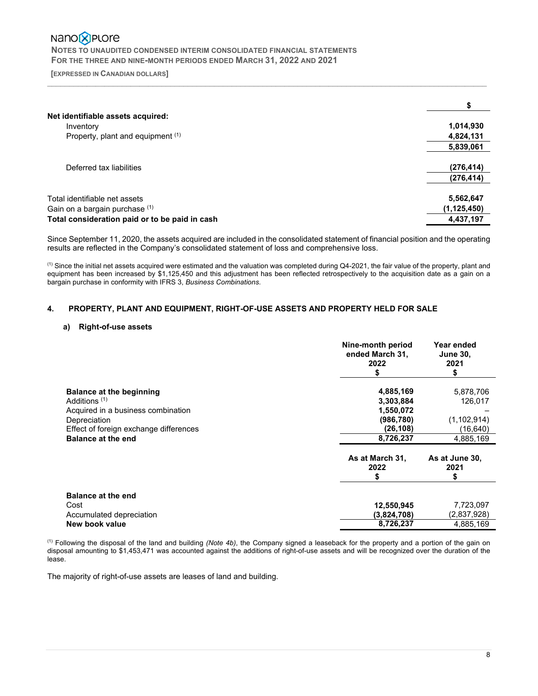# Nano<sup>®</sup>PLOre  **NOTES TO UNAUDITED CONDENSED INTERIM CONSOLIDATED FINANCIAL STATEMENTS**

 **FOR THE THREE AND NINE-MONTH PERIODS ENDED MARCH 31, 2022 AND 2021** 

 **[EXPRESSED IN CANADIAN DOLLARS]**   $\_$  , and the state of the state of the state of the state of the state of the state of the state of the state of the state of the state of the state of the state of the state of the state of the state of the state of the

| Net identifiable assets acquired:              |               |
|------------------------------------------------|---------------|
| Inventory                                      | 1,014,930     |
| Property, plant and equipment (1)              | 4,824,131     |
|                                                | 5,839,061     |
| Deferred tax liabilities                       | (276, 414)    |
|                                                | (276, 414)    |
| Total identifiable net assets                  | 5,562,647     |
| Gain on a bargain purchase (1)                 | (1, 125, 450) |
| Total consideration paid or to be paid in cash | 4,437,197     |

Since September 11, 2020, the assets acquired are included in the consolidated statement of financial position and the operating results are reflected in the Company's consolidated statement of loss and comprehensive loss.

(1) Since the initial net assets acquired were estimated and the valuation was completed during Q4-2021, the fair value of the property, plant and equipment has been increased by \$1,125,450 and this adjustment has been reflected retrospectively to the acquisition date as a gain on a bargain purchase in conformity with IFRS 3, *Business Combinations*.

### **4. PROPERTY, PLANT AND EQUIPMENT, RIGHT-OF-USE ASSETS AND PROPERTY HELD FOR SALE**

### **a) Right-of-use assets**

|                                                                                                                                                                                   | Nine-month period<br>ended March 31,<br>2022                               | Year ended<br><b>June 30,</b><br>2021<br>S                     |
|-----------------------------------------------------------------------------------------------------------------------------------------------------------------------------------|----------------------------------------------------------------------------|----------------------------------------------------------------|
| Balance at the beginning<br>Additions <sup>(1)</sup><br>Acquired in a business combination<br>Depreciation<br>Effect of foreign exchange differences<br><b>Balance at the end</b> | 4,885,169<br>3,303,884<br>1,550,072<br>(986, 780)<br>(26,108)<br>8,726,237 | 5,878,706<br>126,017<br>(1, 102, 914)<br>(16,640)<br>4,885,169 |
|                                                                                                                                                                                   | As at March 31,<br>2022<br>S                                               | As at June 30,<br>2021                                         |
| <b>Balance at the end</b><br>Cost<br>Accumulated depreciation<br>New book value                                                                                                   | 12,550,945<br>(3,824,708)<br>8,726,237                                     | 7,723,097<br>(2,837,928)<br>4,885,169                          |

 (1) Following the disposal of the land and building *(Note 4b)*, the Company signed a leaseback for the property and a portion of the gain on disposal amounting to \$1,453,471 was accounted against the additions of right-of-use assets and will be recognized over the duration of the lease.

The majority of right-of-use assets are leases of land and building.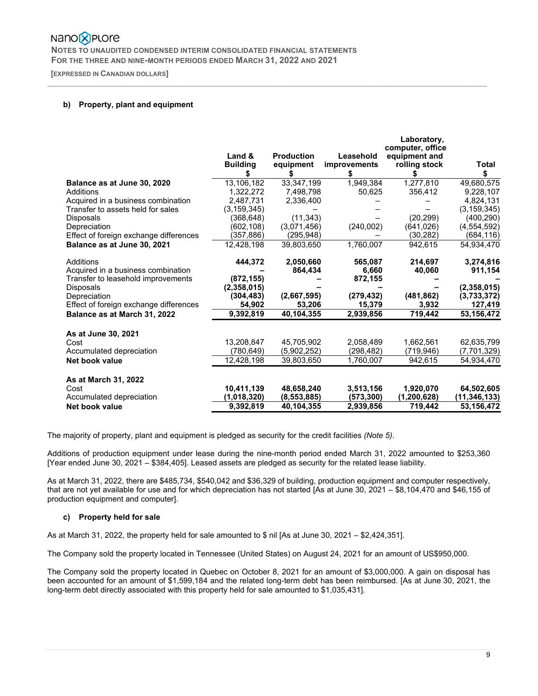# Nano**X** Plore

 **NOTES TO UNAUDITED CONDENSED INTERIM CONSOLIDATED FINANCIAL STATEMENTS FOR THE THREE AND NINE-MONTH PERIODS ENDED MARCH 31, 2022 AND 2021** 

 **[EXPRESSED IN CANADIAN DOLLARS]**   $\_$  , and the state of the state of the state of the state of the state of the state of the state of the state of the state of the state of the state of the state of the state of the state of the state of the state of the

### **b) Property, plant and equipment**

|                                        |                 |                   |                     | Laboratory,<br>computer, office |                |
|----------------------------------------|-----------------|-------------------|---------------------|---------------------------------|----------------|
|                                        | Land &          | <b>Production</b> | Leasehold           | equipment and                   |                |
|                                        | <b>Building</b> | equipment         | <b>improvements</b> | rolling stock                   | Total          |
|                                        | \$              |                   | S                   |                                 |                |
| Balance as at June 30, 2020            | 13,106,182      | 33,347,199        | 1,949,384           | 1,277,810                       | 49,680,575     |
| Additions                              | 1.322.272       | 7,498,798         | 50,625              | 356,412                         | 9.228.107      |
| Acquired in a business combination     | 2,487,731       | 2,336,400         |                     |                                 | 4,824,131      |
| Transfer to assets held for sales      | (3, 159, 345)   |                   |                     |                                 | (3, 159, 345)  |
| <b>Disposals</b>                       | (368.648)       | (11, 343)         |                     | (20.299)                        | (400,290)      |
| Depreciation                           | (602,108)       | (3,071,456)       | (240,002)           | (641, 026)                      | (4, 554, 592)  |
| Effect of foreign exchange differences | (357,886)       | (295, 948)        |                     | (30, 282)                       | (684, 116)     |
| Balance as at June 30, 2021            | 12.428.198      | 39.803.650        | 1.760.007           | 942,615                         | 54.934.470     |
| Additions                              | 444,372         | 2,050,660         | 565,087             | 214.697                         | 3,274,816      |
| Acquired in a business combination     |                 | 864,434           | 6,660               | 40,060                          | 911,154        |
| Transfer to leasehold improvements     | (872, 155)      |                   | 872,155             |                                 |                |
| <b>Disposals</b>                       | (2,358,015)     |                   |                     |                                 | (2,358,015)    |
| Depreciation                           | (304, 483)      | (2,667,595)       | (279, 432)          | (481, 862)                      | (3,733,372)    |
| Effect of foreign exchange differences | 54,902          | 53,206            | 15,379              | 3,932                           | 127,419        |
| Balance as at March 31, 2022           | 9,392,819       | 40,104,355        | 2,939,856           | 719.442                         | 53,156,472     |
| As at June 30, 2021                    |                 |                   |                     |                                 |                |
| Cost                                   | 13.208.847      | 45.705.902        | 2,058,489           | 1.662.561                       | 62.635.799     |
| Accumulated depreciation               | (780, 649)      | (5,902,252)       | (298,482)           | (719, 946)                      | (7,701,329)    |
| Net book value                         | 12,428,198      | 39,803,650        | 1,760,007           | 942,615                         | 54,934,470     |
| As at March 31, 2022                   |                 |                   |                     |                                 |                |
| Cost                                   | 10,411,139      | 48,658,240        | 3,513,156           | 1,920,070                       | 64,502,605     |
| Accumulated depreciation               | (1,018,320)     | (8,553,885)       | (573,300)           | (1,200,628)                     | (11, 346, 133) |
| Net book value                         | 9,392,819       | 40,104,355        | 2,939,856           | 719,442                         | 53,156,472     |

The majority of property, plant and equipment is pledged as security for the credit facilities *(Note 5)*.

Additions of production equipment under lease during the nine-month period ended March 31, 2022 amounted to \$253,360 [Year ended June 30, 2021 – \$384,405]. Leased assets are pledged as security for the related lease liability.

As at March 31, 2022, there are \$485,734, \$540,042 and \$36,329 of building, production equipment and computer respectively, that are not yet available for use and for which depreciation has not started [As at June 30, 2021 – \$8,104,470 and \$46,155 of production equipment and computer].

### **c) Property held for sale**

As at March 31, 2022, the property held for sale amounted to \$ nil [As at June 30, 2021 – \$2,424,351].

The Company sold the property located in Tennessee (United States) on August 24, 2021 for an amount of US\$950,000.

The Company sold the property located in Quebec on October 8, 2021 for an amount of \$3,000,000. A gain on disposal has been accounted for an amount of \$1,599,184 and the related long-term debt has been reimbursed. [As at June 30, 2021, the long-term debt directly associated with this property held for sale amounted to \$1,035,431].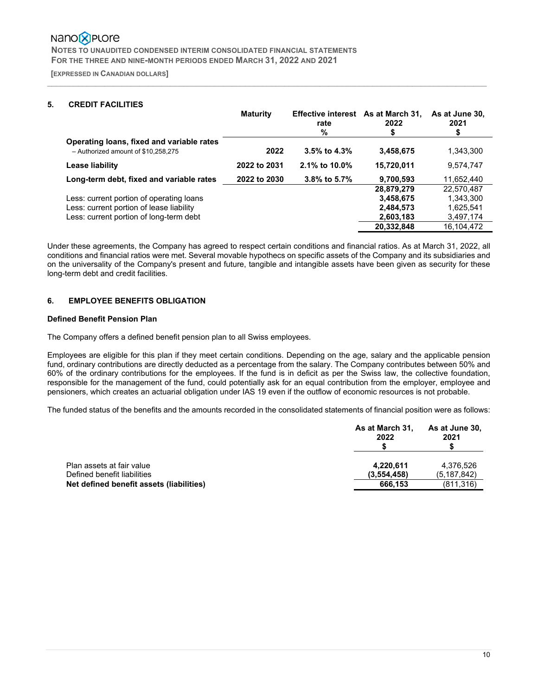# Nano**X** Plore

 **NOTES TO UNAUDITED CONDENSED INTERIM CONSOLIDATED FINANCIAL STATEMENTS FOR THE THREE AND NINE-MONTH PERIODS ENDED MARCH 31, 2022 AND 2021** 

 **[EXPRESSED IN CANADIAN DOLLARS]**   $\_$  , and the state of the state of the state of the state of the state of the state of the state of the state of the state of the state of the state of the state of the state of the state of the state of the state of the

# **5. CREDIT FACILITIES**

|                                                                                  | <b>Maturity</b> | Effective interest As at March 31,<br>rate<br>% | 2022<br>S  | As at June 30,<br>2021 |
|----------------------------------------------------------------------------------|-----------------|-------------------------------------------------|------------|------------------------|
| Operating loans, fixed and variable rates<br>- Authorized amount of \$10.258.275 | 2022            | $3.5\%$ to 4.3%                                 | 3,458,675  | 1,343,300              |
| Lease liability                                                                  | 2022 to 2031    | 2.1% to 10.0%                                   | 15,720,011 | 9,574,747              |
| Long-term debt, fixed and variable rates                                         | 2022 to 2030    | 3.8% to 5.7%                                    | 9,700,593  | 11,652,440             |
|                                                                                  |                 |                                                 | 28,879,279 | 22,570,487             |
| Less: current portion of operating loans                                         |                 |                                                 | 3,458,675  | 1,343,300              |
| Less: current portion of lease liability                                         |                 |                                                 | 2,484,573  | 1,625,541              |
| Less: current portion of long-term debt                                          |                 |                                                 | 2,603,183  | 3,497,174              |
|                                                                                  |                 |                                                 | 20,332,848 | 16,104,472             |

Under these agreements, the Company has agreed to respect certain conditions and financial ratios. As at March 31, 2022, all conditions and financial ratios were met. Several movable hypothecs on specific assets of the Company and its subsidiaries and on the universality of the Company's present and future, tangible and intangible assets have been given as security for these long-term debt and credit facilities.

### **6. EMPLOYEE BENEFITS OBLIGATION**

### **Defined Benefit Pension Plan**

The Company offers a defined benefit pension plan to all Swiss employees.

Employees are eligible for this plan if they meet certain conditions. Depending on the age, salary and the applicable pension fund, ordinary contributions are directly deducted as a percentage from the salary. The Company contributes between 50% and 60% of the ordinary contributions for the employees. If the fund is in deficit as per the Swiss law, the collective foundation, responsible for the management of the fund, could potentially ask for an equal contribution from the employer, employee and pensioners, which creates an actuarial obligation under IAS 19 even if the outflow of economic resources is not probable.

The funded status of the benefits and the amounts recorded in the consolidated statements of financial position were as follows:

|                                          | As at March 31,<br>2022 | As at June 30,<br>2021 |
|------------------------------------------|-------------------------|------------------------|
| Plan assets at fair value                | 4,220,611               | 4,376,526              |
| Defined benefit liabilities              | (3,554,458)             | (5.187.842)            |
| Net defined benefit assets (liabilities) | 666,153                 | (811, 316)             |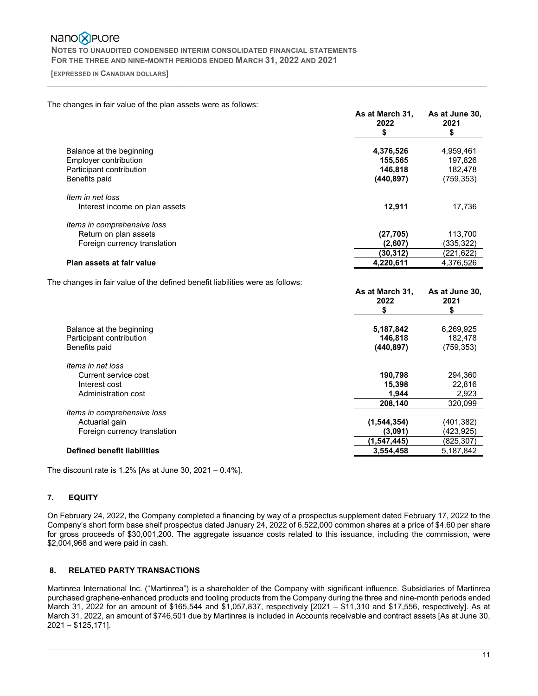# Nano**X** Plore  **NOTES TO UNAUDITED CONDENSED INTERIM CONSOLIDATED FINANCIAL STATEMENTS FOR THE THREE AND NINE-MONTH PERIODS ENDED MARCH 31, 2022 AND 2021**

#### **[EXPRESSED IN CANADIAN DOLLARS]**   $\_$  , and the state of the state of the state of the state of the state of the state of the state of the state of the state of the state of the state of the state of the state of the state of the state of the state of the

### The changes in fair value of the plan assets were as follows:

|                                                                               | As at March 31,<br>2022<br>\$ | As at June 30,<br>2021<br>\$ |
|-------------------------------------------------------------------------------|-------------------------------|------------------------------|
| Balance at the beginning                                                      | 4,376,526                     | 4,959,461                    |
| Employer contribution                                                         | 155,565                       | 197,826                      |
| Participant contribution                                                      | 146,818                       | 182,478                      |
| Benefits paid                                                                 | (440, 897)                    | (759, 353)                   |
| Item in net loss                                                              |                               |                              |
| Interest income on plan assets                                                | 12,911                        | 17,736                       |
| Items in comprehensive loss                                                   |                               |                              |
| Return on plan assets                                                         | (27, 705)                     | 113,700                      |
| Foreign currency translation                                                  | (2,607)                       | (335,322)                    |
|                                                                               | (30, 312)                     | (221, 622)                   |
| Plan assets at fair value                                                     | 4,220,611                     | 4,376,526                    |
| The changes in fair value of the defined benefit liabilities were as follows: |                               |                              |
|                                                                               | As at March 31,<br>2022       | As at June 30,<br>2021<br>\$ |
| Balance at the beginning                                                      | 5,187,842                     | 6,269,925                    |
| Participant contribution                                                      | 146,818                       | 182,478                      |
| Benefits paid                                                                 | (440, 897)                    | (759, 353)                   |
|                                                                               |                               |                              |

| Items in net loss            |               |            |
|------------------------------|---------------|------------|
| Current service cost         | 190.798       | 294.360    |
| Interest cost                | 15.398        | 22.816     |
| Administration cost          | 1.944         | 2,923      |
|                              | 208.140       | 320,099    |
| Items in comprehensive loss  |               |            |
| Actuarial gain               | (1, 544, 354) | (401, 382) |
| Foreign currency translation | (3,091)       | (423.925)  |
|                              | (1,547,445)   | (825, 307) |
| Defined benefit liabilities  | 3,554,458     | 5,187,842  |

The discount rate is 1.2% [As at June 30, 2021 – 0.4%].

### **7. EQUITY**

On February 24, 2022, the Company completed a financing by way of a prospectus supplement dated February 17, 2022 to the Company's short form base shelf prospectus dated January 24, 2022 of 6,522,000 common shares at a price of \$4.60 per share for gross proceeds of \$30,001,200. The aggregate issuance costs related to this issuance, including the commission, were \$2,004,968 and were paid in cash.

### **8. RELATED PARTY TRANSACTIONS**

Martinrea International Inc. ("Martinrea") is a shareholder of the Company with significant influence. Subsidiaries of Martinrea purchased graphene-enhanced products and tooling products from the Company during the three and nine-month periods ended March 31, 2022 for an amount of \$165,544 and \$1,057,837, respectively [2021 – \$11,310 and \$17,556, respectively]. As at March 31, 2022, an amount of \$746,501 due by Martinrea is included in Accounts receivable and contract assets [As at June 30, 2021 – \$125,171].